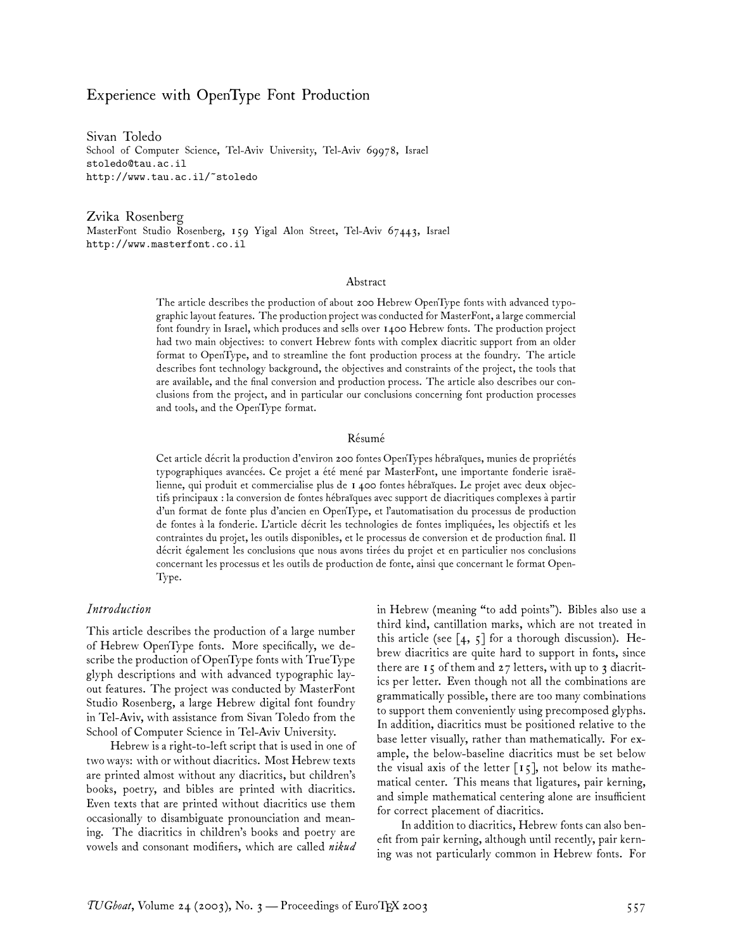### Experience with OpenType Font Production

Sivan Toledo School of Computer Science, Tel-Aviv University, Tel-Aviv 69978, Israel stoledo@tau.ac.il http://www.tau.ac.il/~stoledo

Zvika Rosenberg MasterFont Studio Rosenberg, 159 Yigal Alon Street, Tel-Aviv 67443, Israel http://www.masterfont.co.il

#### Abstract

The article describes the production of about 200 Hebrew OpenType fonts with advanced typographic layout features. The production project was conducted for MasterFont, a large commercial font foundry in Israel, which produces and sells over 1400 Hebrew fonts. The production project had two main objectives: to convert Hebrew fonts with complex diacritic support from an older format to OpenType, and to streamline the font production process at the foundry. The article describes font technology background, the objectives and constraints of the project, the tools that are available, and the final conversion and production process. The article also describes our conclusions from the project, and in particular our conclusions concerning font production processes and tools, and the OpenType format.

#### Résumé

Cet article décrit la production d'environ 200 fontes OpenTypes hébraïques, munies de propriétés typographiques avancées. Ce projet a été mené par MasterFont, une importante fonderie israëlienne, qui produit et commercialise plus de 1 400 fontes hébraïques. Le projet avec deux objectifs principaux : la conversion de fontes hébraïques avec support de diacritiques complexes à partir d'un format de fonte plus d'ancien en OpenType, et l'automatisation du processus de production de fontes à la fonderie. L'article décrit les technologies de fontes impliquées, les objectifs et les contraintes du projet, les outils disponibles, et le processus de conversion et de production final. Il décrit également les conclusions que nous avons tirées du projet et en particulier nos conclusions concernant les processus et les outils de production de fonte, ainsi que concernant le format Open-Type.

#### *Introduction*

This article describes the production of a large number of Hebrew OpenType fonts. More specifically, we describe the production of OpenType fonts with TrueType glyph descriptions and with advanced typographic layout features. The project was conducted by MasterFont Studio Rosenberg, a large Hebrew digital font foundry in Tel-Aviv, with assistance from Sivan Toledo from the School of Computer Science in Tel-Aviv University.

Hebrew is a right-to-left script that is used in one of two ways: with or without diacritics. Most Hebrew texts are printed almost without any diacritics, but children's books, poetry, and bibles are printed with diacritics. Even texts that are printed without diacritics use them occasionally to disambiguate pronounciation and meaning. The diacritics in children's books and poetry are vowels and consonant modifiers, which are called *nikud* in Hebrew (meaning "to add points"). Bibles also use a third kind, cantillation marks, which are not treated in this article (see  $\lceil 4, 5 \rceil$  for a thorough discussion). Hebrew diacritics are quite hard to support in fonts, since there are  $15$  of them and  $27$  letters, with up to 3 diacritics per letter. Even though not all the combinations are grammatically possible, there are too many combinations to support them conveniently using precomposed glyphs. In addition, diacritics must be positioned relative to the base letter visually, rather than mathematically. For example, the below-baseline diacritics must be set below the visual axis of the letter  $\lceil 15 \rceil$ , not below its mathematical center. This means that ligatures, pair kerning, and simple mathematical centering alone are insufficient for correct placement of diacritics.

In addition to diacritics, Hebrew fonts can also benefit from pair kerning, although until recently, pair kerning was not particularly common in Hebrew fonts. For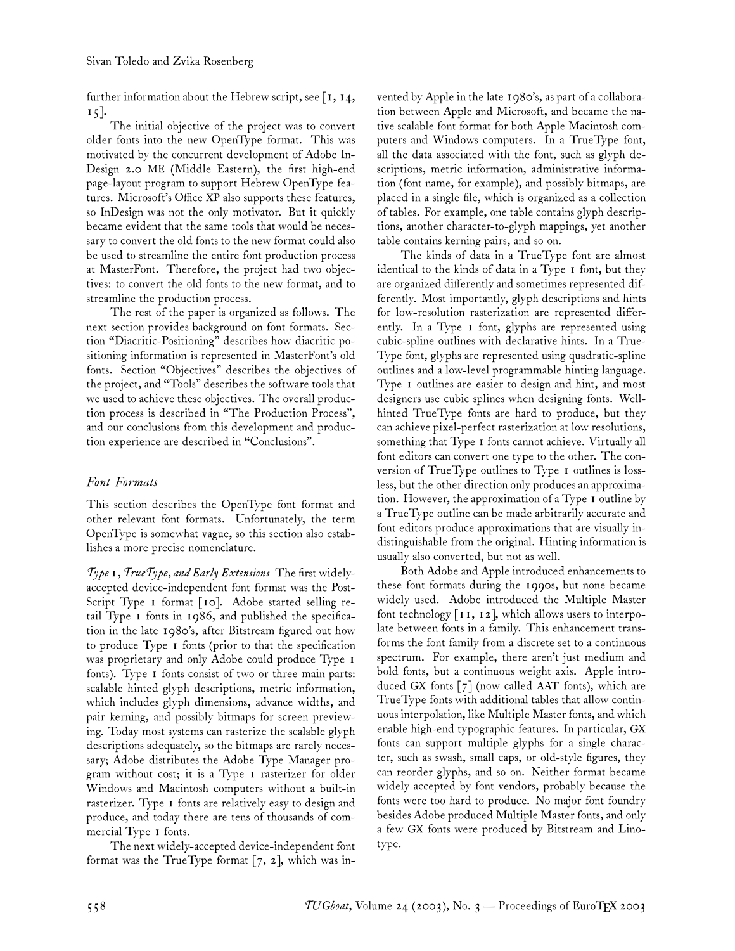further information about the Hebrew script, see  $\lceil$  I, 14, 15].

The initial objective of the project was to convert older fonts into the new OpenType format. This was motivated by the concurrent development of Adobe In-Design 2.0 ME (Middle Eastern), the first high-end page-layout program to support Hebrew OpenType features. Microsoft's Office XP also supports these features, so InDesign was not the only motivator. But it quickly became evident that the same tools that would be necessary to convert the old fonts to the new format could also be used to streamline the entire font production process at MasterFont. Therefore, the project had two objectives: to convert the old fonts to the new format, and to streamline the production process.

The rest of the paper is organized as follows. The next section provides background on font formats. Section "Diacritic-Positioning" describes how diacritic positioning information is represented in MasterFont's old fonts. Section "Objectives" describes the objectives of the project, and "Tools" describes the software tools that we used to achieve these objectives. The overall production process is described in "The Production Process", and our conclusions from this development and production experience are described in "Conclusions".

### *Font Formats*

This section describes the OpenType font format and other relevant font formats. Unfortunately, the term OpenType is somewhat vague, so this section also establishes a more precise nomenclature.

*Type 1, TrueType, and Early Extensions* The first widelyaccepted device-independent font format was the Post-Script Type I format [10]. Adobe started selling retail Type 1 fonts in 1986, and published the specification in the late 1980's, after Bitstream figured out how to produce Type 1 fonts (prior to that the specification was proprietary and only Adobe could produce Type 1 fonts). Type 1 fonts consist of two or three main parts: scalable hinted glyph descriptions, metric information, which includes glyph dimensions, advance widths, and pair kerning, and possibly bitmaps for screen previewing. Today most systems can rasterize the scalable glyph descriptions adequately, so the bitmaps are rarely necessary; Adobe distributes the Adobe Type Manager program without cost; it is a Type 1 rasterizer for older Windows and Macintosh computers without a built-in rasterizer. Type 1 fonts are relatively easy to design and produce, and today there are tens of thousands of commercial Type 1 fonts.

The next widely-accepted device-independent font format was the TrueType format  $[7, 2]$ , which was invented by Apple in the late 1980's, as part of a collaboration between Apple and Microsoft, and became the native scalable font format for both Apple Macintosh computers and Windows computers. In a TrueType font, all the data associated with the font, such as glyph descriptions, metric information, administrative information (font name, for example), and possibly bitmaps, are placed in a single file, which is organized as a collection of tables. For example, one table contains glyph descriptions, another character-to-glyph mappings, yet another table contains kerning pairs, and so on.

The kinds of data in a TrueType font are almost identical to the kinds of data in a Type 1 font, but they are organized differently and sometimes represented differently. Most importantly, glyph descriptions and hints for low-resolution rasterization are represented differently. In a Type 1 font, glyphs are represented using cubic-spline outlines with declarative hints. In a True-Type font, glyphs are represented using quadratic-spline outlines and a low-level programmable hinting language. Type 1 outlines are easier to design and hint, and most designers use cubic splines when designing fonts. Wellhinted TrueType fonts are hard to produce, but they can achieve pixel-perfect rasterization at low resolutions, something that Type 1 fonts cannot achieve. Virtually all font editors can convert one type to the other. The conversion of TrueType outlines to Type 1 outlines is lossless, but the other direction only produces an approximation. However, the approximation of a Type 1 outline by a TrueType outline can be made arbitrarily accurate and font editors produce approximations that are visually indistinguishable from the original. Hinting information is usually also converted, but not as well.

Both Adobe and Apple introduced enhancements to these font formats during the 1990s, but none became widely used. Adobe introduced the Multiple Master font technology  $\lceil \mathbf{11}, \mathbf{12} \rceil$ , which allows users to interpolate between fonts in a family. This enhancement transforms the font family from a discrete set to a continuous spectrum. For example, there aren't just medium and bold fonts, but a continuous weight axis. Apple introduced GX fonts  $\lceil 7 \rceil$  (now called AAT fonts), which are TrueType fonts with additional tables that allow continuous interpolation, like Multiple Master fonts, and which enable high-end typographic features. In particular, GX fonts can support multiple glyphs for a single character, such as swash, small caps, or old-style figures, they can reorder glyphs, and so on. Neither format became widely accepted by font vendors, probably because the fonts were too hard to produce. No major font foundry besides Adobe produced Multiple Master fonts, and only a few GX fonts were produced by Bitstream and Linotype.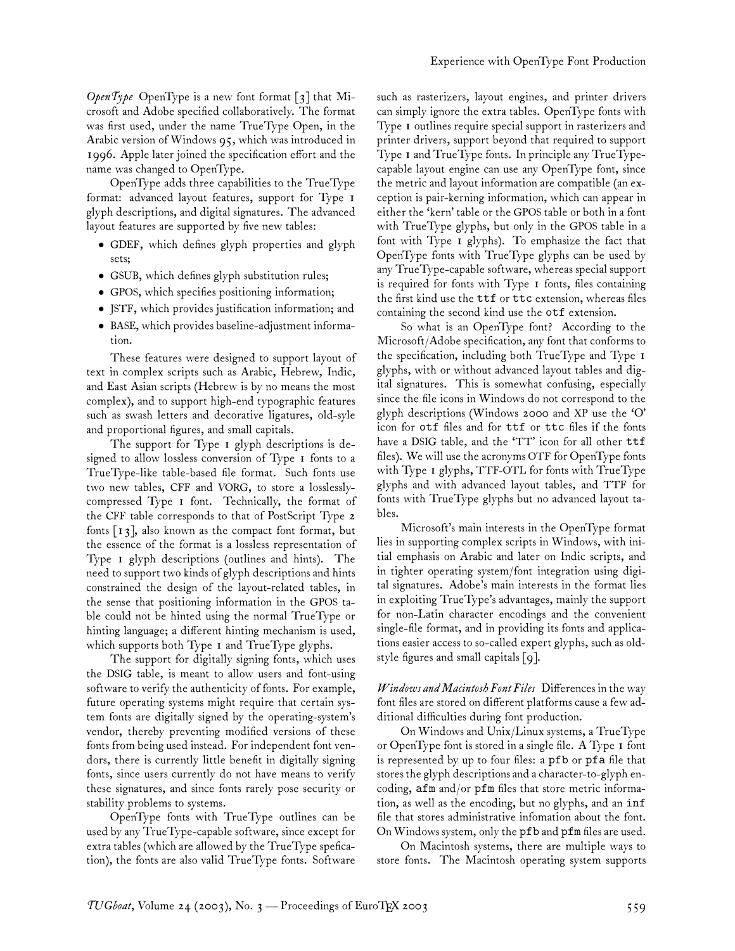*OpenType* OpenType is a new font format [3] that Microsoft and Adobe specified collaboratively. The format was first used, under the name TrueType Open, in the Arabic version of Windows 95, which was introduced in 1996. Apple later joined the specification effort and the name was changed to OpenType.

OpenType adds three capabilities to the TrueType format: advanced layout features, support for Type 1 glyph descriptions, and digital signatures. The advanced layout features are supported by five new tables:

- GDEF, which defines glyph properties and glyph sets;
- GSUB, which defines glyph substitution rules;
- GPOS, which specifies positioning information;
- JSTF, which provides justification information; and
- BASE, which provides baseline-adjustment information.

These features were designed to support layout of text in complex scripts such as Arabic, Hebrew, Indic, and East Asian scripts (Hebrew is by no means the most complex), and to support high-end typographic features such as swash letters and decorative ligatures, old-syle and proportional figures, and small capitals.

The support for Type 1 glyph descriptions is designed to allow lossless conversion of Type 1 fonts to a TrueType-like table-based file format. Such fonts use two new tables, CFF and VORG, to store a losslesslycompressed Type 1 font. Technically, the format of the CFF table corresponds to that of PostScript Type 2 fonts  $\lceil 13 \rceil$ , also known as the compact font format, but the essence of the format is a lossless representation of Type 1 glyph descriptions (outlines and hints). The need to support two kinds of glyph descriptions and hints constrained the design of the layout-related tables, in the sense that positioning information in the GPOS table could not be hinted using the normal TrueType or hinting language; a different hinting mechanism is used, which supports both Type 1 and TrueType glyphs.

The support for digitally signing fonts, which uses the DSIG table, is meant to allow users and font-using software to verify the authenticity of fonts. For example, future operating systems might require that certain system fonts are digitally signed by the operating-system's vendor, thereby preventing modified versions of these fonts from being used instead. For independent font vendors, there is currently little benefit in digitally signing fonts, since users currently do not have means to verify these signatures, and since fonts rarely pose security or stability problems to systems.

OpenType fonts with TrueType outlines can be used by any TrueType-capable software, since except for extra tables (which are allowed by the TrueType spefication), the fonts are also valid TrueType fonts. Software

such as rasterizers, layout engines, and printer drivers can simply ignore the extra tables. OpenType fonts with Type 1 outlines require special support in rasterizers and printer drivers, support beyond that required to support Type 1 and TrueType fonts. In principle any TrueTypecapable layout engine can use any OpenType font, since the metric and layout information are compatible (an exception is pair-kerning information, which can appear in either the 'kern' table or the GPOS table or both in a font with TrueType glyphs, but only in the GPOS table in a font with Type 1 glyphs). To emphasize the fact that OpenType fonts with TrueType glyphs can be used by any TrueType-capable software, whereas special support is required for fonts with Type 1 fonts, files containing the first kind use the ttf or ttc extension, whereas files containing the second kind use the otf extension.

So what is an OpenType font? According to the Microsoft/Adobe specification, any font that conforms to the specification, including both TrueType and Type 1 glyphs, with or without advanced layout tables and digital signatures. This is somewhat confusing, especially since the file icons in Windows do not correspond to the glyph descriptions (Windows 2000 and XP use the 'O' icon for otf files and for ttf or ttc files if the fonts have a DSIG table, and the 'TT' icon for all other ttf files). We will use the acronyms OTF for OpenType fonts with Type 1 glyphs, TTF-OTL for fonts with TrueType glyphs and with advanced layout tables, and TTF for fonts with TrueType glyphs but no advanced layout tables.

Microsoft's main interests in the OpenType format lies in supporting complex scripts in Windows, with initial emphasis on Arabic and later on Indic scripts, and in tighter operating system/font integration using digital signatures. Adobe's main interests in the format lies in exploiting TrueType's advantages, mainly the support for non-Latin character encodings and the convenient single-file format, and in providing its fonts and applications easier access to so-called expert glyphs, such as oldstyle figures and small capitals [9].

*Windows and Macintosh Font Files* Differences in the way font files are stored on different platforms cause a few additional difficulties during font production.

On Windows and Unix/Linux systems, a TrueType or OpenType font is stored in a single file. A Type 1 font is represented by up to four files: a pfb or pfa file that stores the glyph descriptions and a character-to-glyph encoding, afm and/or pfm files that store metric information, as well as the encoding, but no glyphs, and an inf file that stores administrative infomation about the font. On Windows system, only the pfb and pfm files are used.

On Macintosh systems, there are multiple ways to store fonts. The Macintosh operating system supports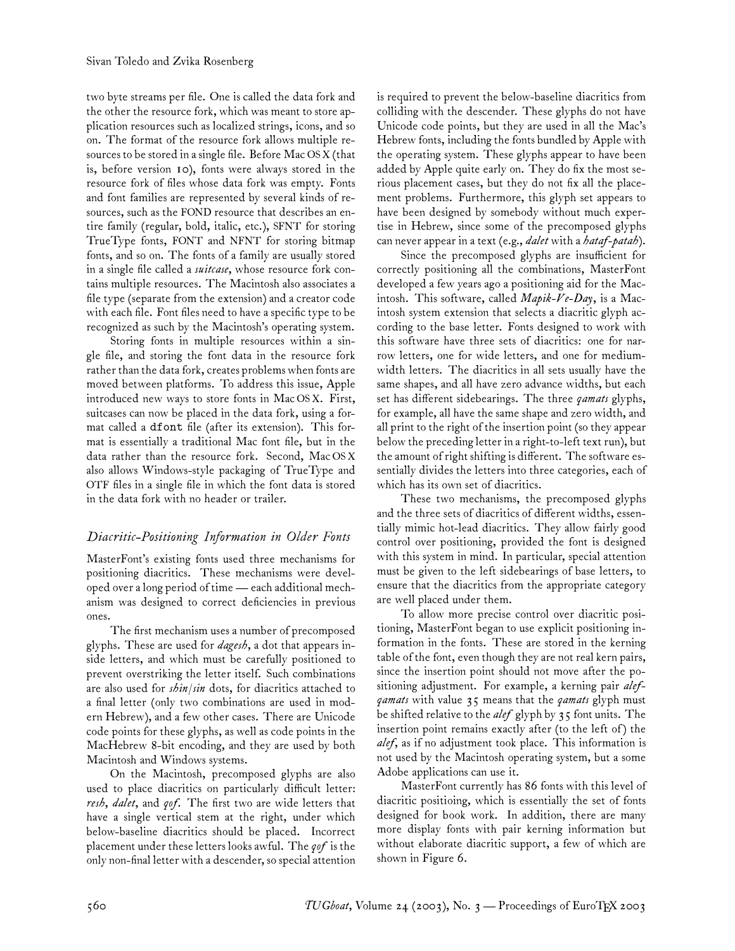two byte streams per file. One is called the data fork and the other the resource fork, which was meant to store application resources such as localized strings, icons, and so on. The format of the resource fork allows multiple resources to be stored in a single file. Before Mac OS X (that is, before version 10), fonts were always stored in the resource fork of files whose data fork was empty. Fonts and font families are represented by several kinds of resources, such as the FOND resource that describes an entire family (regular, bold, italic, etc.), SFNT for storing TrueType fonts, FONT and NFNT for storing bitmap fonts, and so on. The fonts of a family are usually stored in a single file called a *suitcase*, whose resource fork contains multiple resources. The Macintosh also associates a file type (separate from the extension) and a creator code with each file. Font files need to have a specific type to be recognized as such by the Macintosh's operating system.

Storing fonts in multiple resources within a single file, and storing the font data in the resource fork rather than the data fork, creates problems when fonts are moved between platforms. To address this issue, Apple introduced new ways to store fonts in Mac OS X. First, suitcases can now be placed in the data fork, using a format called a dfont file (after its extension). This format is essentially a traditional Mac font file, but in the data rather than the resource fork. Second, Mac OS X also allows Windows-style packaging of TrueType and OTF files in a single file in which the font data is stored in the data fork with no header or trailer.

# *Diacritic-Positioning Information in Older Fonts*

MasterFont's existing fonts used three mechanisms for positioning diacritics. These mechanisms were developed over a long period of time— each additional mechanism was designed to correct deficiencies in previous ones.

The first mechanism uses a number of precomposed glyphs. These are used for *dagesh*, a dot that appears inside letters, and which must be carefully positioned to prevent overstriking the letter itself. Such combinations are also used for *shin/sin* dots, for diacritics attached to a final letter (only two combinations are used in modern Hebrew), and a few other cases. There are Unicode code points for these glyphs, as well as code points in the MacHebrew 8-bit encoding, and they are used by both Macintosh and Windows systems.

On the Macintosh, precomposed glyphs are also used to place diacritics on particularly difficult letter: *resh*, *dalet*, and *qof*. The first two are wide letters that have a single vertical stem at the right, under which below-baseline diacritics should be placed. Incorrect placement under these letters looks awful. The *qof* is the only non-final letter with a descender, so special attention is required to prevent the below-baseline diacritics from colliding with the descender. These glyphs do not have Unicode code points, but they are used in all the Mac's Hebrew fonts, including the fonts bundled by Apple with the operating system. These glyphs appear to have been added by Apple quite early on. They do fix the most serious placement cases, but they do not fix all the placement problems. Furthermore, this glyph set appears to have been designed by somebody without much expertise in Hebrew, since some of the precomposed glyphs can never appear in a text (e.g., *dalet* with a *hataf-patah*).

Since the precomposed glyphs are insufficient for correctly positioning all the combinations, MasterFont developed a few years ago a positioning aid for the Macintosh. This software, called *Mapik-Ve-Day*, is a Macintosh system extension that selects a diacritic glyph according to the base letter. Fonts designed to work with this software have three sets of diacritics: one for narrow letters, one for wide letters, and one for mediumwidth letters. The diacritics in all sets usually have the same shapes, and all have zero advance widths, but each set has different sidebearings. The three *qamats* glyphs, for example, all have the same shape and zero width, and all print to the right of the insertion point (so they appear below the preceding letter in a right-to-left text run), but the amount of right shifting is different. The software essentially divides the letters into three categories, each of which has its own set of diacritics.

These two mechanisms, the precomposed glyphs and the three sets of diacritics of different widths, essentially mimic hot-lead diacritics. They allow fairly good control over positioning, provided the font is designed with this system in mind. In particular, special attention must be given to the left sidebearings of base letters, to ensure that the diacritics from the appropriate category are well placed under them.

To allow more precise control over diacritic positioning, MasterFont began to use explicit positioning information in the fonts. These are stored in the kerning table of the font, even though they are not real kern pairs, since the insertion point should not move after the positioning adjustment. For example, a kerning pair *alefqamats* with value 35 means that the *qamats* glyph must be shifted relative to the *alef* glyph by 35 font units. The insertion point remains exactly after (to the left of ) the *alef*, as if no adjustment took place. This information is not used by the Macintosh operating system, but a some Adobe applications can use it.

MasterFont currently has 86 fonts with this level of diacritic positioing, which is essentially the set of fonts designed for book work. In addition, there are many more display fonts with pair kerning information but without elaborate diacritic support, a few of which are shown in Figure 6.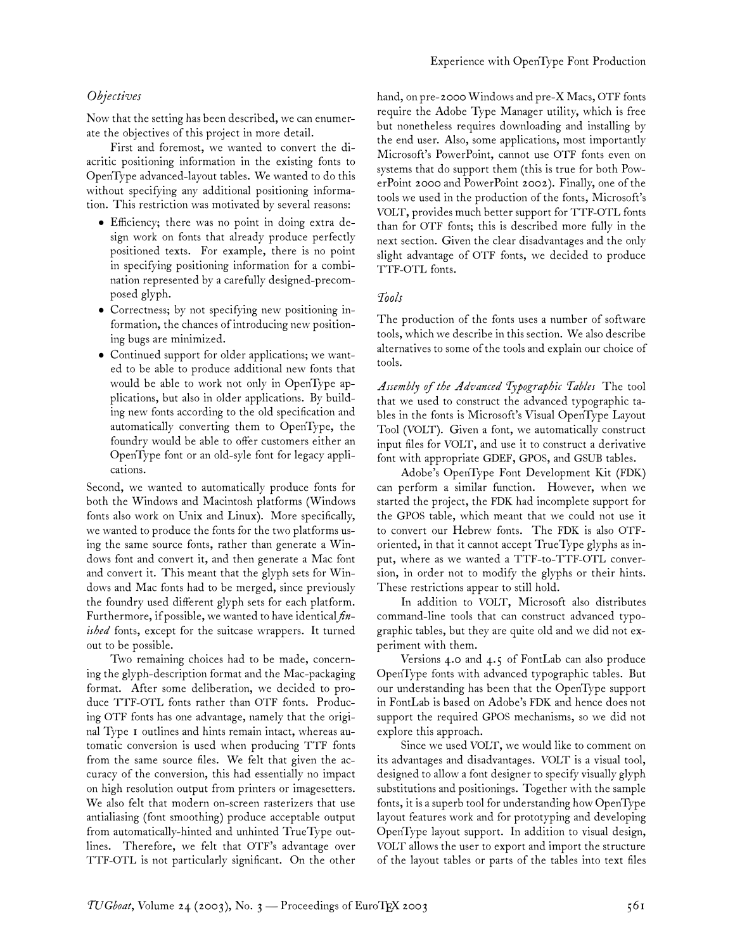# *Objectives*

Now that the setting has been described, we can enumerate the objectives of this project in more detail.

First and foremost, we wanted to convert the diacritic positioning information in the existing fonts to OpenType advanced-layout tables. We wanted to do this without specifying any additional positioning information. This restriction was motivated by several reasons:

- Efficiency; there was no point in doing extra design work on fonts that already produce perfectly positioned texts. For example, there is no point in specifying positioning information for a combination represented by a carefully designed-precomposed glyph.
- Correctness; by not specifying new positioning information, the chances of introducing new positioning bugs are minimized.
- Continued support for older applications; we wanted to be able to produce additional new fonts that would be able to work not only in OpenType applications, but also in older applications. By building new fonts according to the old specification and automatically converting them to OpenType, the foundry would be able to offer customers either an OpenType font or an old-syle font for legacy applications.

Second, we wanted to automatically produce fonts for both the Windows and Macintosh platforms (Windows fonts also work on Unix and Linux). More specifically, we wanted to produce the fonts for the two platforms using the same source fonts, rather than generate a Windows font and convert it, and then generate a Mac font and convert it. This meant that the glyph sets for Windows and Mac fonts had to be merged, since previously the foundry used different glyph sets for each platform. Furthermore, if possible, we wanted to have identical *finished* fonts, except for the suitcase wrappers. It turned out to be possible.

Two remaining choices had to be made, concerning the glyph-description format and the Mac-packaging format. After some deliberation, we decided to produce TTF-OTL fonts rather than OTF fonts. Producing OTF fonts has one advantage, namely that the original Type 1 outlines and hints remain intact, whereas automatic conversion is used when producing TTF fonts from the same source files. We felt that given the accuracy of the conversion, this had essentially no impact on high resolution output from printers or imagesetters. We also felt that modern on-screen rasterizers that use antialiasing (font smoothing) produce acceptable output from automatically-hinted and unhinted TrueType outlines. Therefore, we felt that OTF's advantage over TTF-OTL is not particularly significant. On the other hand, on pre-2000 Windows and pre-X Macs, OTF fonts require the Adobe Type Manager utility, which is free but nonetheless requires downloading and installing by the end user. Also, some applications, most importantly Microsoft's PowerPoint, cannot use OTF fonts even on systems that do support them (this is true for both PowerPoint 2000 and PowerPoint 2002). Finally, one of the tools we used in the production of the fonts, Microsoft's VOLT, provides much better support for TTF-OTL fonts than for OTF fonts; this is described more fully in the next section. Given the clear disadvantages and the only slight advantage of OTF fonts, we decided to produce TTF-OTL fonts.

### *Tools*

The production of the fonts uses a number of software tools, which we describe in this section. We also describe alternatives to some of the tools and explain our choice of tools.

*Assembly of the Advanced Typographic Tables* The tool that we used to construct the advanced typographic tables in the fonts is Microsoft's Visual OpenType Layout Tool (VOLT). Given a font, we automatically construct input files for VOLT, and use it to construct a derivative font with appropriate GDEF, GPOS, and GSUB tables.

Adobe's OpenType Font Development Kit (FDK) can perform a similar function. However, when we started the project, the FDK had incomplete support for the GPOS table, which meant that we could not use it to convert our Hebrew fonts. The FDK is also OTForiented, in that it cannot accept TrueType glyphs as input, where as we wanted a TTF-to-TTF-OTL conversion, in order not to modify the glyphs or their hints. These restrictions appear to still hold.

In addition to VOLT, Microsoft also distributes command-line tools that can construct advanced typographic tables, but they are quite old and we did not experiment with them.

Versions 4.0 and 4.5 of FontLab can also produce OpenType fonts with advanced typographic tables. But our understanding has been that the OpenType support in FontLab is based on Adobe's FDK and hence does not support the required GPOS mechanisms, so we did not explore this approach.

Since we used VOLT, we would like to comment on its advantages and disadvantages. VOLT is a visual tool, designed to allow a font designer to specify visually glyph substitutions and positionings. Together with the sample fonts, it is a superb tool for understanding how OpenType layout features work and for prototyping and developing OpenType layout support. In addition to visual design, VOLT allows the user to export and import the structure of the layout tables or parts of the tables into text files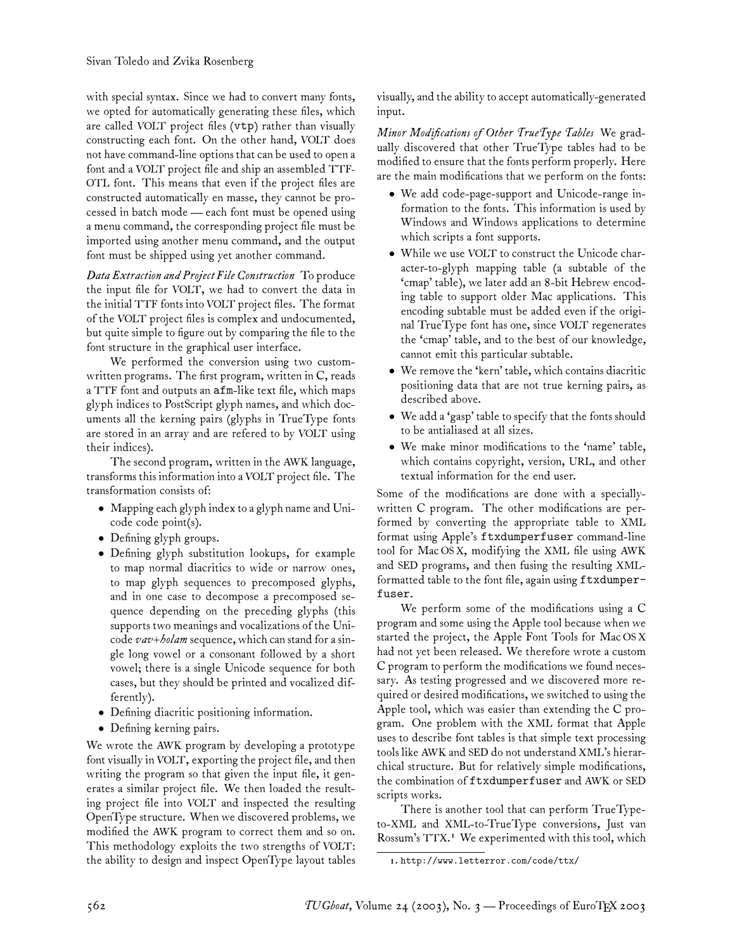with special syntax. Since we had to convert many fonts, we opted for automatically generating these files, which are called VOLT project files (vtp) rather than visually constructing each font. On the other hand, VOLT does not have command-line options that can be used to open a font and a VOLT project file and ship an assembled TTF-OTL font. This means that even if the project files are constructed automatically en masse, they cannot be processed in batch mode— each font must be opened using a menu command, the corresponding project file must be imported using another menu command, and the output font must be shipped using yet another command.

*Data Extraction and Project File Construction* To produce the input file for VOLT, we had to convert the data in the initial TTF fonts into VOLT project files. The format of the VOLT project files is complex and undocumented, but quite simple to figure out by comparing the file to the font structure in the graphical user interface.

We performed the conversion using two customwritten programs. The first program, written in C, reads a TTF font and outputs an afm-like text file, which maps glyph indices to PostScript glyph names, and which documents all the kerning pairs (glyphs in TrueType fonts are stored in an array and are refered to by VOLT using their indices).

The second program, written in the AWK language, transforms this information into a VOLT project file. The transformation consists of:

- Mapping each glyph index to a glyph name and Unicode code point(s).
- Defining glyph groups.
- Defining glyph substitution lookups, for example to map normal diacritics to wide or narrow ones, to map glyph sequences to precomposed glyphs, and in one case to decompose a precomposed sequence depending on the preceding glyphs (this supports two meanings and vocalizations of the Unicode *vav+holam* sequence, which can stand for a single long vowel or a consonant followed by a short vowel; there is a single Unicode sequence for both cases, but they should be printed and vocalized differently).
- Defining diacritic positioning information.
- Defining kerning pairs.

We wrote the AWK program by developing a prototype font visually in VOLT, exporting the project file, and then writing the program so that given the input file, it generates a similar project file. We then loaded the resulting project file into VOLT and inspected the resulting OpenType structure. When we discovered problems, we modified the AWK program to correct them and so on. This methodology exploits the two strengths of VOLT: the ability to design and inspect OpenType layout tables visually, and the ability to accept automatically-generated input.

*Minor Modifications of Other TrueType Tables* We gradually discovered that other TrueType tables had to be modified to ensure that the fonts perform properly. Here are the main modifications that we perform on the fonts:

- We add code-page-support and Unicode-range information to the fonts. This information is used by Windows and Windows applications to determine which scripts a font supports.
- While we use VOLT to construct the Unicode character-to-glyph mapping table (a subtable of the 'cmap' table), we later add an 8-bit Hebrew encoding table to support older Mac applications. This encoding subtable must be added even if the original TrueType font has one, since VOLT regenerates the 'cmap' table, and to the best of our knowledge, cannot emit this particular subtable.
- We remove the 'kern' table, which contains diacritic positioning data that are not true kerning pairs, as described above.
- We add a 'gasp' table to specify that the fonts should to be antialiased at all sizes.
- We make minor modifications to the 'name' table, which contains copyright, version, URL, and other textual information for the end user.

Some of the modifications are done with a speciallywritten C program. The other modifications are performed by converting the appropriate table to XML format using Apple's ftxdumperfuser command-line tool for Mac OS X, modifying the XML file using AWK and SED programs, and then fusing the resulting XMLformatted table to the font file, again using ftxdumperfuser.

We perform some of the modifications using a C program and some using the Apple tool because when we started the project, the Apple Font Tools for Mac OS X had not yet been released. We therefore wrote a custom C program to perform the modifications we found necessary. As testing progressed and we discovered more required or desired modifications, we switched to using the Apple tool, which was easier than extending the C program. One problem with the XML format that Apple uses to describe font tables is that simple text processing tools like AWK and SED do not understand XML's hierarchical structure. But for relatively simple modifications, the combination of ftxdumperfuser and AWK or SED scripts works.

There is another tool that can perform TrueTypeto-XML and XML-to-TrueType conversions, Just van Rossum's TTX. <sup>1</sup> We experimented with this tool, which

<sup>1.</sup> http://www.letterror.com/code/ttx/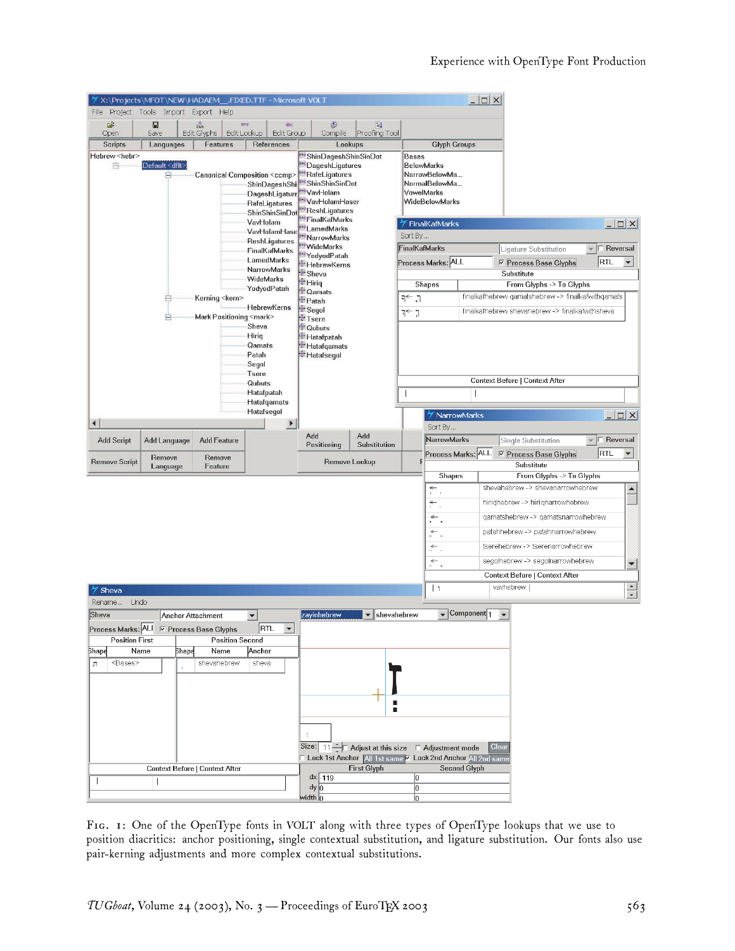|                            | X:\Projects\MFOT\NEW\HADAEM__.FIXED.TTF - Microsoft VOLT |                                     |                        |                                                     |                                                  |                                                                                                             |               |                                                                                                                                     |               |                                                                                     | $ \Box$ $\times$                 |       |                                                                               |                          |                                          |                      |
|----------------------------|----------------------------------------------------------|-------------------------------------|------------------------|-----------------------------------------------------|--------------------------------------------------|-------------------------------------------------------------------------------------------------------------|---------------|-------------------------------------------------------------------------------------------------------------------------------------|---------------|-------------------------------------------------------------------------------------|----------------------------------|-------|-------------------------------------------------------------------------------|--------------------------|------------------------------------------|----------------------|
|                            | File Project Tools Import Export Help                    |                                     |                        |                                                     |                                                  |                                                                                                             |               |                                                                                                                                     |               |                                                                                     |                                  |       |                                                                               |                          |                                          |                      |
| É<br>Open                  | $\blacksquare$<br>Save                                   | Base<br>Edit Glyphs                 | a.a<br>Edit Lookup     |                                                     | disc<br><b>Edit Group</b>                        |                                                                                                             | ♦<br>Compile  | 圓<br>Proofing Tool                                                                                                                  |               |                                                                                     |                                  |       |                                                                               |                          |                                          |                      |
| <b>Scripts</b>             | Languages                                                | Features                            |                        |                                                     | References                                       |                                                                                                             | Lookups       |                                                                                                                                     |               | <b>Glyph Groups</b>                                                                 |                                  |       |                                                                               |                          |                                          |                      |
| Hebrew <hebr><br/>B</hebr> | Default <dflt><br/>A</dflt>                              | Canonical Composition <ccmp></ccmp> |                        |                                                     | ShinDageshShi<br>DageshLigature<br>RafeLigatures | * ShinDageshShinSinDot<br>DageshLigatures<br>"RafeLigatures<br>"ShinShinSinDot<br>VavHolam<br>VavHolamHaser |               |                                                                                                                                     | <b>Bases</b>  | <b>BelowMarks</b><br>NarrowBelowMa<br>NormalBelowMa<br>VowelMarks<br>WideBelowMarks |                                  |       |                                                                               |                          |                                          |                      |
|                            |                                                          |                                     |                        |                                                     | ShinShinSinDot                                   | ReshLigatures                                                                                               |               |                                                                                                                                     |               |                                                                                     |                                  |       |                                                                               |                          |                                          |                      |
|                            |                                                          |                                     |                        | VavHolam                                            |                                                  | FinalKafMarks<br>LamedMarks                                                                                 |               |                                                                                                                                     |               | FinalKafMarks                                                                       |                                  |       |                                                                               |                          |                                          | $ \Box$ $\times$     |
|                            |                                                          |                                     |                        |                                                     | VavHolamHase<br>ReshLigatures                    | NarrowMarks                                                                                                 |               |                                                                                                                                     | Sort By       |                                                                                     |                                  |       |                                                                               |                          |                                          |                      |
|                            |                                                          |                                     |                        |                                                     | FinalKafMarks                                    | WideMarks<br>*YodyodPatah                                                                                   |               |                                                                                                                                     | FinalKafMarks |                                                                                     |                                  |       | Ligature Substitution                                                         |                          |                                          | $\sqcap$ Reversal    |
|                            |                                                          |                                     |                        | LamedMarks<br><b>NarrowMarks</b>                    |                                                  | *HebrewKerns                                                                                                |               |                                                                                                                                     |               | Process Marks: ALL                                                                  |                                  |       | <b>▽ Process Base Glyphs</b>                                                  |                          | RTL                                      | $\blacktriangledown$ |
|                            |                                                          |                                     |                        | WideMarks                                           |                                                  | Sheva<br><sup>*</sup> Hiriq                                                                                 |               |                                                                                                                                     |               |                                                                                     |                                  |       | Substitute                                                                    |                          |                                          |                      |
|                            |                                                          |                                     |                        | YodyodPatah                                         |                                                  | <sup>*</sup> Qamats                                                                                         |               |                                                                                                                                     |               | Shapes                                                                              |                                  |       | From Glyphs -> To Glyphs<br>finalkafhebrew qamatshebrew -> finalkafwithqamats |                          |                                          |                      |
|                            |                                                          | Kerning <kern></kern>               |                        | HebrewKerns                                         |                                                  | Patah<br>Segol                                                                                              |               |                                                                                                                                     | ך, ←ך         |                                                                                     |                                  |       |                                                                               |                          |                                          |                      |
|                            |                                                          | Mark Positioning <mark></mark>      |                        |                                                     |                                                  | Tsere                                                                                                       |               |                                                                                                                                     | ך ←ך          |                                                                                     |                                  |       | finalkafhebrew shevahebrew -> finalkafwithsheva                               |                          |                                          |                      |
|                            |                                                          |                                     |                        | Sheva<br>Hiriq<br>Qamats<br>Patah<br>Segol<br>Tsere |                                                  | Cubuts<br>** Hatafpatah<br>*** Hatafqamats<br>*** Hatafsegol                                                |               |                                                                                                                                     |               |                                                                                     |                                  |       |                                                                               |                          |                                          |                      |
|                            |                                                          |                                     |                        | Qubuts                                              |                                                  |                                                                                                             |               |                                                                                                                                     |               |                                                                                     |                                  |       | Context Before   Context After                                                |                          |                                          |                      |
|                            |                                                          |                                     |                        | Hatafpatah<br>Hatafqamats                           |                                                  |                                                                                                             |               |                                                                                                                                     |               |                                                                                     |                                  |       |                                                                               |                          |                                          |                      |
|                            |                                                          |                                     |                        | Hatafsegol                                          |                                                  |                                                                                                             |               |                                                                                                                                     |               | X NarrowMarks                                                                       |                                  |       |                                                                               |                          |                                          | $ \Box$ $\times$     |
|                            |                                                          |                                     |                        |                                                     | $\blacktriangleright$                            |                                                                                                             |               |                                                                                                                                     |               | Sort By                                                                             |                                  |       |                                                                               |                          |                                          |                      |
| $\blacktriangleleft$       |                                                          |                                     |                        |                                                     |                                                  |                                                                                                             |               |                                                                                                                                     |               |                                                                                     |                                  |       |                                                                               |                          |                                          |                      |
| <b>Add Script</b>          | <b>Add Language</b>                                      | <b>Add Feature</b>                  |                        |                                                     |                                                  | Add                                                                                                         |               | Add                                                                                                                                 |               | NarrowMarks                                                                         |                                  |       | Single Substitution                                                           |                          | $\overline{\phantom{a}}$ $\Box$ Reversal |                      |
|                            | Remove                                                   | Remove                              |                        |                                                     |                                                  | Positioning                                                                                                 |               | Substitution                                                                                                                        |               | Process Marks: ALL                                                                  |                                  |       | <b>▽ Process Base Glyphs</b>                                                  |                          | RTL                                      | $\blacktriangledown$ |
| <b>Remove Script</b>       | Language                                                 | Feature                             |                        |                                                     |                                                  |                                                                                                             | Remove Lookup |                                                                                                                                     |               |                                                                                     |                                  |       | Substitute                                                                    |                          |                                          |                      |
|                            |                                                          |                                     |                        |                                                     |                                                  |                                                                                                             |               |                                                                                                                                     |               | Shapes                                                                              |                                  |       |                                                                               | From Glyphs -> To Glyphs |                                          |                      |
|                            |                                                          |                                     |                        |                                                     |                                                  |                                                                                                             |               |                                                                                                                                     |               | ÷                                                                                   |                                  |       | shevahebrew -> shevanarrowhebrew                                              |                          |                                          | $\blacktriangle$     |
|                            |                                                          |                                     |                        |                                                     |                                                  |                                                                                                             |               |                                                                                                                                     |               | ←                                                                                   |                                  |       | hirighebrew -> hirignarrowhebrew                                              |                          |                                          |                      |
|                            |                                                          |                                     |                        |                                                     |                                                  |                                                                                                             |               |                                                                                                                                     |               | $\leftarrow$                                                                        |                                  |       | qamatshebrew -> qamatsnarrowhebrew                                            |                          |                                          |                      |
|                            |                                                          |                                     |                        |                                                     |                                                  |                                                                                                             |               |                                                                                                                                     |               | ←.                                                                                  |                                  |       | patahhebrew -> patahnarrowhebrew                                              |                          |                                          |                      |
|                            |                                                          |                                     |                        |                                                     |                                                  |                                                                                                             |               |                                                                                                                                     |               | $\leftarrow$                                                                        |                                  |       | tserehebrew -> tserenarrowhebrew                                              |                          |                                          |                      |
|                            |                                                          |                                     |                        |                                                     |                                                  |                                                                                                             |               |                                                                                                                                     |               | $\overline{\cdot}$ .                                                                |                                  |       | segolhebrew -> segolnarrowhebrew                                              |                          |                                          | $\blacktriangledown$ |
|                            |                                                          |                                     |                        |                                                     |                                                  |                                                                                                             |               |                                                                                                                                     |               |                                                                                     |                                  |       | Context Before   Context After                                                |                          |                                          |                      |
| Sheva                      |                                                          |                                     |                        |                                                     |                                                  |                                                                                                             |               |                                                                                                                                     |               | $\mathbf{L}$                                                                        |                                  |       | vavhebrew                                                                     |                          |                                          |                      |
| Rename<br>Undo             |                                                          |                                     |                        |                                                     |                                                  |                                                                                                             |               |                                                                                                                                     |               |                                                                                     |                                  |       |                                                                               |                          |                                          | $\frac{1}{\sqrt{2}}$ |
| Sheva                      | Anchor Attachment                                        |                                     |                        | $\blacktriangledown$                                |                                                  | zayinhebrew                                                                                                 |               | $\blacktriangledown$                                                                                                                | shevahebrew   |                                                                                     | $\sqrt{\frac{1}{1}}$ Component 1 |       |                                                                               |                          |                                          |                      |
|                            | Process Marks: ALI E Process Base Glyphs RTL V           |                                     |                        |                                                     |                                                  |                                                                                                             |               |                                                                                                                                     |               |                                                                                     |                                  |       |                                                                               |                          |                                          |                      |
| <b>Position First</b>      |                                                          |                                     | <b>Position Second</b> |                                                     |                                                  |                                                                                                             |               |                                                                                                                                     |               |                                                                                     |                                  |       |                                                                               |                          |                                          |                      |
| Shape                      | Name<br><b>Shap∉</b>                                     | Name                                |                        | Anchor                                              |                                                  |                                                                                                             |               |                                                                                                                                     |               |                                                                                     |                                  |       |                                                                               |                          |                                          |                      |
| <bases><br/>л</bases>      |                                                          | shevahebrew                         |                        | sheva                                               |                                                  |                                                                                                             |               |                                                                                                                                     |               |                                                                                     |                                  |       |                                                                               |                          |                                          |                      |
|                            |                                                          |                                     |                        |                                                     |                                                  |                                                                                                             |               |                                                                                                                                     |               |                                                                                     |                                  |       |                                                                               |                          |                                          |                      |
|                            |                                                          |                                     |                        |                                                     |                                                  |                                                                                                             |               |                                                                                                                                     |               |                                                                                     |                                  |       |                                                                               |                          |                                          |                      |
|                            |                                                          |                                     |                        |                                                     |                                                  | ÷                                                                                                           |               |                                                                                                                                     |               |                                                                                     |                                  |       |                                                                               |                          |                                          |                      |
|                            |                                                          |                                     |                        |                                                     |                                                  |                                                                                                             |               |                                                                                                                                     |               |                                                                                     |                                  | Clear |                                                                               |                          |                                          |                      |
|                            |                                                          |                                     |                        |                                                     |                                                  |                                                                                                             |               | Size: $\boxed{11 -}$ Adjust at this size $\Box$ Adjustment mode<br>IL Lock 1st Anchor   All 1st same   Lock 2nd Anchor All 2nd same |               |                                                                                     |                                  |       |                                                                               |                          |                                          |                      |
|                            | Context Before   Context After                           |                                     |                        |                                                     |                                                  |                                                                                                             |               | <b>First Glyph</b>                                                                                                                  |               |                                                                                     | Second Glyph                     |       |                                                                               |                          |                                          |                      |
|                            |                                                          |                                     |                        |                                                     |                                                  | dx   -119<br>dy 0                                                                                           |               |                                                                                                                                     | 0<br>o        |                                                                                     |                                  |       |                                                                               |                          |                                          |                      |

FIG. 1: One of the OpenType fonts in VOLT along with three types of OpenType lookups that we use to position diacritics: anchor positioning, single contextual substitution, and ligature substitution. Our fonts also use pair-kerning adjustments and more complex contextual substitutions.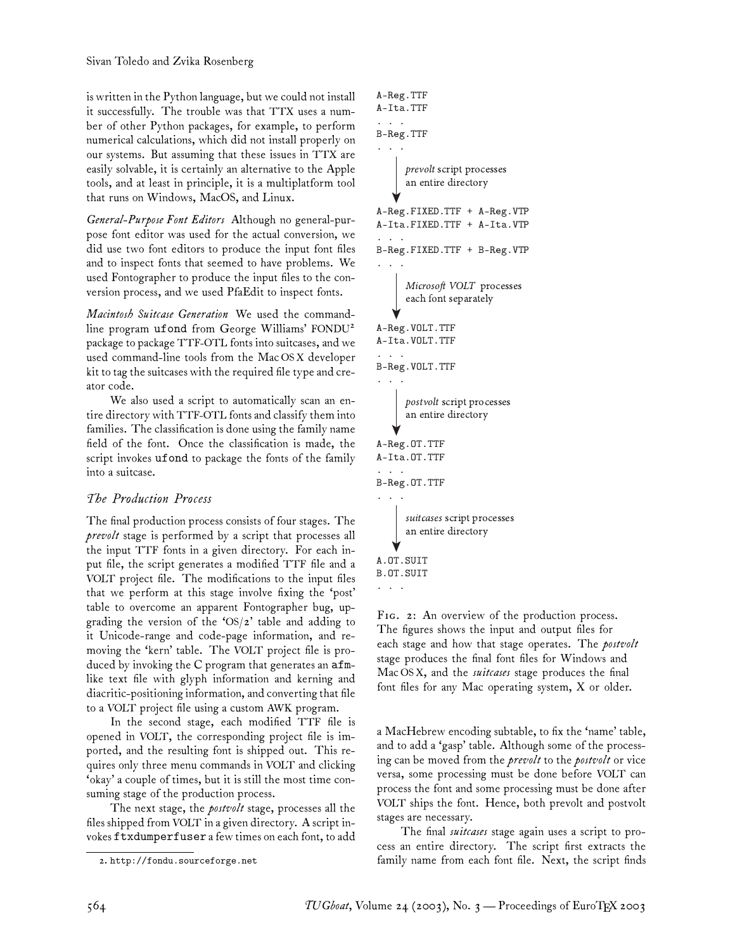is written in the Python language, but we could not install it successfully. The trouble was that TTX uses a number of other Python packages, for example, to perform numerical calculations, which did not install properly on our systems. But assuming that these issues in TTX are easily solvable, it is certainly an alternative to the Apple tools, and at least in principle, it is a multiplatform tool that runs on Windows, MacOS, and Linux.

*General-Purpose Font Editors* Although no general-purpose font editor was used for the actual conversion, we did use two font editors to produce the input font files and to inspect fonts that seemed to have problems. We used Fontographer to produce the input files to the conversion process, and we used PfaEdit to inspect fonts.

*Macintosh Suitcase Generation* We used the commandline program ufond from George Williams' FONDU<sup>2</sup> package to package TTF-OTL fonts into suitcases, and we used command-line tools from the Mac OS X developer kit to tag the suitcases with the required file type and creator code.

We also used a script to automatically scan an entire directory with TTF-OTL fonts and classify them into families. The classification is done using the family name field of the font. Once the classification is made, the script invokes ufond to package the fonts of the family into a suitcase.

# *The Production Process*

The final production process consists of four stages. The *prevolt* stage is performed by a script that processes all the input TTF fonts in a given directory. For each input file, the script generates a modified TTF file and a VOLT project file. The modifications to the input files that we perform at this stage involve fixing the 'post' table to overcome an apparent Fontographer bug, upgrading the version of the 'OS/2' table and adding to it Unicode-range and code-page information, and removing the 'kern' table. The VOLT project file is produced by invoking the C program that generates an afmlike text file with glyph information and kerning and diacritic-positioning information, and converting that file to a VOLT project file using a custom AWK program.

In the second stage, each modified TTF file is opened in VOLT, the corresponding project file is imported, and the resulting font is shipped out. This requires only three menu commands in VOLT and clicking 'okay' a couple of times, but it is still the most time consuming stage of the production process.

The next stage, the *postvolt* stage, processes all the files shipped from VOLT in a given directory. A script invokes ftxdumperfuser a few times on each font, to add

```
A-Reg.TTF
A-Ita.TTF
\mathbf{r} = \mathbf{r} - \mathbf{r}B-Reg.TTF
. . .
A-Reg.FIXED.TTF + A-Reg.VTP
A-Ita.FIXED.TTF + A-Ita.VTP
. .
B-Reg.FIXED.TTF + B-Reg.VTP
. .
A-Reg.VOLT.TTF
A-Ita.VOLT.TTF
. . .
B-Reg.VOLT.TTF
. .
      prevolt script processes 
      an entire directory
      Microsoft VOLT processes 
      each font separately
      postvolt script processes 
      an entire directory
A.OT.SUIT
B.OT.SUIT
      suitcases script processes 
      an entire directory
A-Reg.OT.TTF
A-Ita.OT.TTF
. . .
B-Reg.OT.TTF
. .
```
. . .

FIG. 2: An overview of the production process. The figures shows the input and output files for each stage and how that stage operates. The *postvolt* stage produces the final font files for Windows and Mac OS X, and the *suitcases* stage produces the final font files for any Mac operating system, X or older.

a MacHebrew encoding subtable, to fix the 'name' table, and to add a 'gasp' table. Although some of the processing can be moved from the *prevolt* to the *postvolt* or vice versa, some processing must be done before VOLT can process the font and some processing must be done after VOLT ships the font. Hence, both prevolt and postvolt stages are necessary.

The final *suitcases* stage again uses a script to process an entire directory. The script first extracts the family name from each font file. Next, the script finds

<sup>2.</sup> http://fondu.sourceforge.net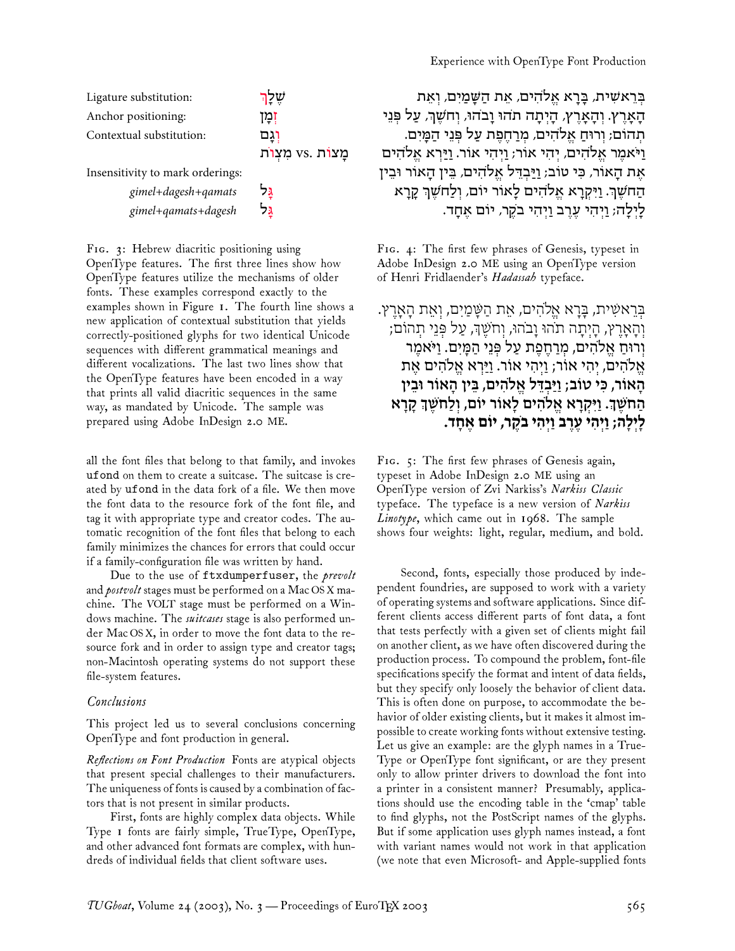לַיְלָה; וַיְהִי עֵרֵב וַיִּהִי

| Ligature substitution:           | שלך           | בִּרֵאשִׁית, בָּרָא אֵלֹהִים, אֵת הַשָּׁמַיִם, וְאֵת             |
|----------------------------------|---------------|------------------------------------------------------------------|
| Anchor positioning:              | זְמִן         | הָאָרֶץ. וְהָאָרֶץ, הָיְתָה תֹהוּ וָבֹהוּ, וִחֹשֵׁךְ, עַל פִּנֵי |
| Contextual substitution:         | וגם           | תְהוֹם; וְרוּחַ אֱלֹהִים, מְרַחֶפֶת עַל פְּנֵי הַמַּיִם.         |
|                                  | מצות vs. מצות | וַיֹּאמֶר אֱלֹהִים, יִהִי אוֹר; וַיְהִי אוֹר. וַיַּרְא אֱלֹהִים  |
| Insensitivity to mark orderings: |               | אֶת הַאוֹר, כִּי טוֹב; וַיַּבְדֵּל אֱלֹהִים, בֵּין הַאוֹר וּבֵין |
| gimel+dagesh+qamats              | גּל           | הַחֹשֶׁךָ. וַיִּקְרַא אֱלֹהִים לַאוֹר יוֹם, וְלַחֹשֶׁךָ קָרַא    |
| gimel+qamats+dagesh              | גּל           | לַיִלַה; וַיְהִי עֲרֵב וַיְהִי בֹקֶר, יוֹם אַחֲד.                |

FIG. 3: Hebrew diacritic positioning using OpenType features. The first three lines show how OpenType features utilize the mechanisms of older fonts. These examples correspond exactly to the examples shown in Figure 1. The fourth line shows a new application of contextual substitution that yields correctly-positioned glyphs for two identical Unicode sequences with different grammatical meanings and different vocalizations. The last two lines show that the OpenType features have been encoded in a way that prints all valid diacritic sequences in the same way, as mandated by Unicode. The sample was prepared using Adobe InDesign 2.0 ME.

all the font files that belong to that family, and invokes ufond on them to create a suitcase. The suitcase is created by ufond in the data fork of a file. We then move the font data to the resource fork of the font file, and tag it with appropriate type and creator codes. The automatic recognition of the font files that belong to each family minimizes the chances for errors that could occur if a family-configuration file was written by hand.

Due to the use of ftxdumperfuser, the *prevolt* and *postvolt* stages must be performed on a Mac OS X machine. The VOLT stage must be performed on a Windows machine. The *suitcases* stage is also performed under Mac OS X, in order to move the font data to the resource fork and in order to assign type and creator tags; non-Macintosh operating systems do not support these file-system features.

#### *Conclusions*

This project led us to several conclusions concerning OpenType and font production in general.

*Reflections on Font Production* Fonts are atypical objects that present special challenges to their manufacturers. The uniqueness of fonts is caused by a combination of factors that is not present in similar products.

First, fonts are highly complex data objects. While Type 1 fonts are fairly simple, TrueType, OpenType, and other advanced font formats are complex, with hundreds of individual fields that client software uses.

FIG. 4: The first few phrases of Genesis, typeset in Adobe InDesign 2.0 ME using an OpenType version of Henri Fridlaender's *Hadassah* typeface.

# ּבְּרֵאשִׁית, בַּרֵא אֵלֹהִים, אֵת הַשַּּׁמַיִם, וְאֵת הַאֲרֵץ. וְהָאָץ, הָיְתָה תֹהוּ וָבֹהוּ, וְחֹשֶׁ=, עַל פְּנֵי תְהוֹם; וְרוּחַ א7ֱהִים, מ4ְחֶפֶת עַל פְּנֵי הַמָּיִם. וַיֹּאמֶר אֵלֹהִים, יְהִי אוֹר; וַיְהִי אוֹר. וַיַּרְא אֱלֹהִים אֶת הָאוֹר, כִּי טוֹב; וַיַּבְדֵּל אֱ)הִים, בֵּין הָאוֹר וּבֵין הַחֹשֵׁךָ. וַיִּקְרָא אֱלֹהִים לָאוֹר יוֹם, וְלַחֹשֵׁךְ קָרָא **לָיְלָה; וַיְהִי ע-ֶב וַיְהִי בֹקֶר, יוֹם אֶחָד.**

FIG. 5: The first few phrases of Genesis again, typeset in Adobe InDesign 2.0 ME using an OpenType version of Zvi Narkiss's *Narkiss Classic* typeface. The typeface is a new version of *Narkiss Linotype*, which came out in 1968. The sample shows four weights: light, regular, medium, and bold.

Second, fonts, especially those produced by independent foundries, are supposed to work with a variety of operating systems and software applications. Since different clients access different parts of font data, a font that tests perfectly with a given set of clients might fail on another client, as we have often discovered during the production process. To compound the problem, font-file specifications specify the format and intent of data fields, but they specify only loosely the behavior of client data. This is often done on purpose, to accommodate the behavior of older existing clients, but it makes it almost impossible to create working fonts without extensive testing. Let us give an example: are the glyph names in a True-Type or OpenType font significant, or are they present only to allow printer drivers to download the font into a printer in a consistent manner? Presumably, applications should use the encoding table in the 'cmap' table to find glyphs, not the PostScript names of the glyphs. But if some application uses glyph names instead, a font with variant names would not work in that application (we note that even Microsoft- and Apple-supplied fonts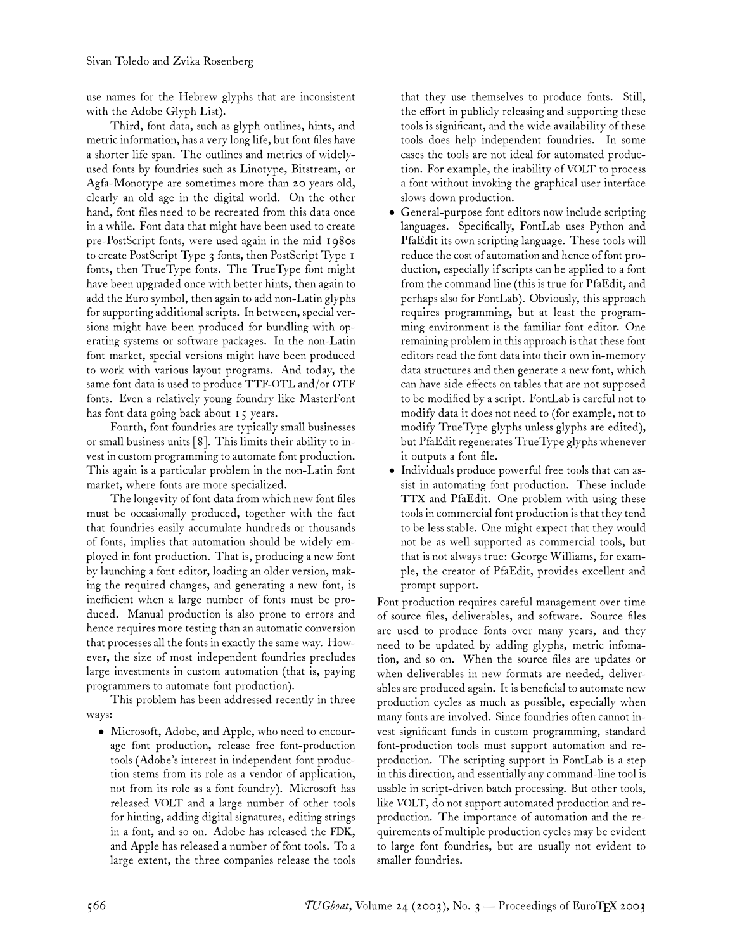use names for the Hebrew glyphs that are inconsistent with the Adobe Glyph List).

Third, font data, such as glyph outlines, hints, and metric information, has a very long life, but font files have a shorter life span. The outlines and metrics of widelyused fonts by foundries such as Linotype, Bitstream, or Agfa-Monotype are sometimes more than 20 years old, clearly an old age in the digital world. On the other hand, font files need to be recreated from this data once in a while. Font data that might have been used to create pre-PostScript fonts, were used again in the mid 1980s to create PostScript Type 3 fonts, then PostScript Type 1 fonts, then TrueType fonts. The TrueType font might have been upgraded once with better hints, then again to add the Euro symbol, then again to add non-Latin glyphs for supporting additional scripts. In between, special versions might have been produced for bundling with operating systems or software packages. In the non-Latin font market, special versions might have been produced to work with various layout programs. And today, the same font data is used to produce TTF-OTL and/or OTF fonts. Even a relatively young foundry like MasterFont has font data going back about 15 years.

Fourth, font foundries are typically small businesses or small business units [8]. This limits their ability to invest in custom programming to automate font production. This again is a particular problem in the non-Latin font market, where fonts are more specialized.

The longevity of font data from which new font files must be occasionally produced, together with the fact that foundries easily accumulate hundreds or thousands of fonts, implies that automation should be widely employed in font production. That is, producing a new font by launching a font editor, loading an older version, making the required changes, and generating a new font, is inefficient when a large number of fonts must be produced. Manual production is also prone to errors and hence requires more testing than an automatic conversion that processes all the fonts in exactly the same way. However, the size of most independent foundries precludes large investments in custom automation (that is, paying programmers to automate font production).

This problem has been addressed recently in three ways:

• Microsoft, Adobe, and Apple, who need to encourage font production, release free font-production tools (Adobe's interest in independent font production stems from its role as a vendor of application, not from its role as a font foundry). Microsoft has released VOLT and a large number of other tools for hinting, adding digital signatures, editing strings in a font, and so on. Adobe has released the FDK, and Apple has released a number of font tools. To a large extent, the three companies release the tools that they use themselves to produce fonts. Still, the effort in publicly releasing and supporting these tools is significant, and the wide availability of these tools does help independent foundries. In some cases the tools are not ideal for automated production. For example, the inability of VOLT to process a font without invoking the graphical user interface slows down production.

- General-purpose font editors now include scripting languages. Specifically, FontLab uses Python and PfaEdit its own scripting language. These tools will reduce the cost of automation and hence of font production, especially if scripts can be applied to a font from the command line (this is true for PfaEdit, and perhaps also for FontLab). Obviously, this approach requires programming, but at least the programming environment is the familiar font editor. One remaining problem in this approach is that these font editors read the font data into their own in-memory data structures and then generate a new font, which can have side effects on tables that are not supposed to be modified by a script. FontLab is careful not to modify data it does not need to (for example, not to modify TrueType glyphs unless glyphs are edited), but PfaEdit regenerates TrueType glyphs whenever it outputs a font file.
- Individuals produce powerful free tools that can assist in automating font production. These include TTX and PfaEdit. One problem with using these tools in commercial font production is that they tend to be less stable. One might expect that they would not be as well supported as commercial tools, but that is not always true: George Williams, for example, the creator of PfaEdit, provides excellent and prompt support.

Font production requires careful management over time of source files, deliverables, and software. Source files are used to produce fonts over many years, and they need to be updated by adding glyphs, metric infomation, and so on. When the source files are updates or when deliverables in new formats are needed, deliverables are produced again. It is beneficial to automate new production cycles as much as possible, especially when many fonts are involved. Since foundries often cannot invest significant funds in custom programming, standard font-production tools must support automation and reproduction. The scripting support in FontLab is a step in this direction, and essentially any command-line tool is usable in script-driven batch processing. But other tools, like VOLT, do not support automated production and reproduction. The importance of automation and the requirements of multiple production cycles may be evident to large font foundries, but are usually not evident to smaller foundries.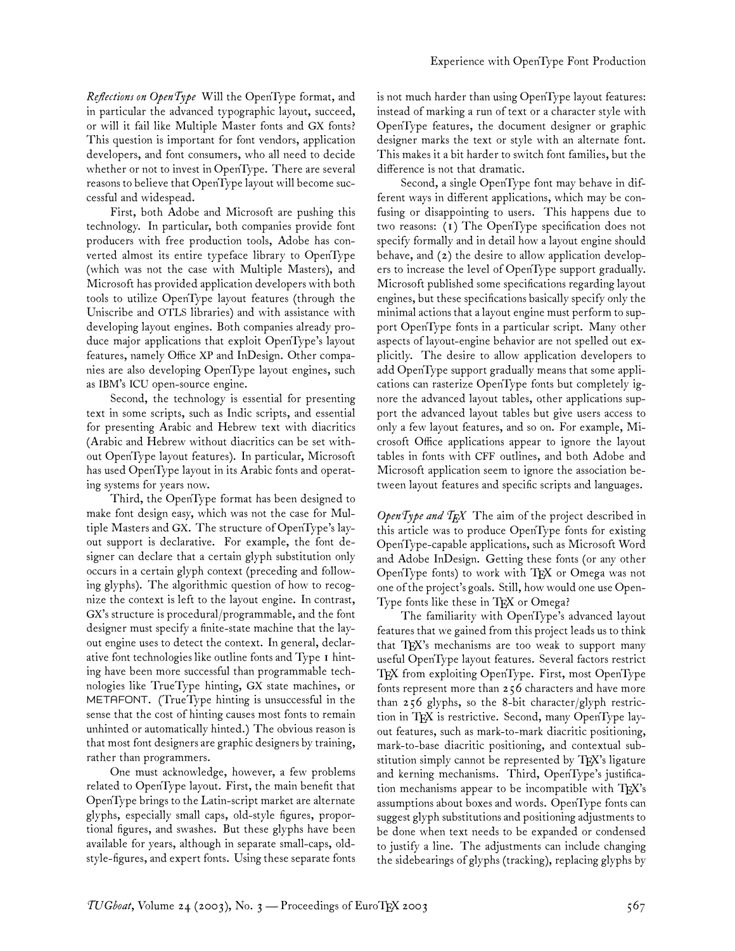*Reflections on OpenType* Will the OpenType format, and in particular the advanced typographic layout, succeed, or will it fail like Multiple Master fonts and GX fonts? This question is important for font vendors, application developers, and font consumers, who all need to decide whether or not to invest in OpenType. There are several reasons to believe that OpenType layout will become successful and widespead.

First, both Adobe and Microsoft are pushing this technology. In particular, both companies provide font producers with free production tools, Adobe has converted almost its entire typeface library to OpenType (which was not the case with Multiple Masters), and Microsoft has provided application developers with both tools to utilize OpenType layout features (through the Uniscribe and OTLS libraries) and with assistance with developing layout engines. Both companies already produce major applications that exploit OpenType's layout features, namely Office XP and InDesign. Other companies are also developing OpenType layout engines, such as IBM's ICU open-source engine.

Second, the technology is essential for presenting text in some scripts, such as Indic scripts, and essential for presenting Arabic and Hebrew text with diacritics (Arabic and Hebrew without diacritics can be set without OpenType layout features). In particular, Microsoft has used OpenType layout in its Arabic fonts and operating systems for years now.

Third, the OpenType format has been designed to make font design easy, which was not the case for Multiple Masters and GX. The structure of OpenType's layout support is declarative. For example, the font designer can declare that a certain glyph substitution only occurs in a certain glyph context (preceding and following glyphs). The algorithmic question of how to recognize the context is left to the layout engine. In contrast, GX's structure is procedural/programmable, and the font designer must specify a finite-state machine that the layout engine uses to detect the context. In general, declarative font technologies like outline fonts and Type 1 hinting have been more successful than programmable technologies like TrueType hinting, GX state machines, or METAFONT. (TrueType hinting is unsuccessful in the sense that the cost of hinting causes most fonts to remain unhinted or automatically hinted.) The obvious reason is that most font designers are graphic designers by training, rather than programmers.

One must acknowledge, however, a few problems related to OpenType layout. First, the main benefit that OpenType brings to the Latin-script market are alternate glyphs, especially small caps, old-style figures, proportional figures, and swashes. But these glyphs have been available for years, although in separate small-caps, oldstyle-figures, and expert fonts. Using these separate fonts is not much harder than using OpenType layout features: instead of marking a run of text or a character style with OpenType features, the document designer or graphic designer marks the text or style with an alternate font. This makes it a bit harder to switch font families, but the difference is not that dramatic.

Second, a single OpenType font may behave in different ways in different applications, which may be confusing or disappointing to users. This happens due to two reasons: (1) The OpenType specification does not specify formally and in detail how a layout engine should behave, and (2) the desire to allow application developers to increase the level of OpenType support gradually. Microsoft published some specifications regarding layout engines, but these specifications basically specify only the minimal actions that a layout engine must perform to support OpenType fonts in a particular script. Many other aspects of layout-engine behavior are not spelled out explicitly. The desire to allow application developers to add OpenType support gradually means that some applications can rasterize OpenType fonts but completely ignore the advanced layout tables, other applications support the advanced layout tables but give users access to only a few layout features, and so on. For example, Microsoft Office applications appear to ignore the layout tables in fonts with CFF outlines, and both Adobe and Microsoft application seem to ignore the association between layout features and specific scripts and languages.

*OpenType and TEX* The aim of the project described in this article was to produce OpenType fonts for existing OpenType-capable applications, such as Microsoft Word and Adobe InDesign. Getting these fonts (or any other OpenType fonts) to work with  $T_FX$  or Omega was not one of the project's goals. Still, how would one use Open-Type fonts like these in TFX or Omega?

The familiarity with OpenType's advanced layout features that we gained from this project leads us to think that TEX's mechanisms are too weak to support many useful OpenType layout features. Several factors restrict TEX from exploiting OpenType. First, most OpenType fonts represent more than 256 characters and have more than 256 glyphs, so the 8-bit character/glyph restriction in TEX is restrictive. Second, many OpenType layout features, such as mark-to-mark diacritic positioning, mark-to-base diacritic positioning, and contextual substitution simply cannot be represented by  $T_{F}X$ 's ligature and kerning mechanisms. Third, OpenType's justification mechanisms appear to be incompatible with  $T_{F}X$ 's assumptions about boxes and words. OpenType fonts can suggest glyph substitutions and positioning adjustments to be done when text needs to be expanded or condensed to justify a line. The adjustments can include changing the sidebearings of glyphs (tracking), replacing glyphs by